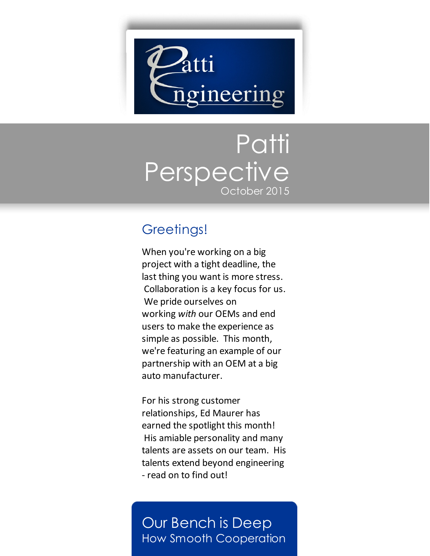

# Patti **Perspective** October 2015

## Greetings!

When you're working on a big project with a tight deadline, the last thing you want is more stress. Collaboration is a key focus for us. We pride ourselves on working *with* our OEMs and end users to make the experience as simple as possible. This month, we're featuring an example of our partnership with an OEM at a big auto manufacturer.

For his strong customer relationships, Ed Maurer has earned the spotlight this month! His amiable personality and many talents are assets on our team. His talents extend beyond engineering - read on to find out!

## Our Bench is Deep How Smooth Cooperation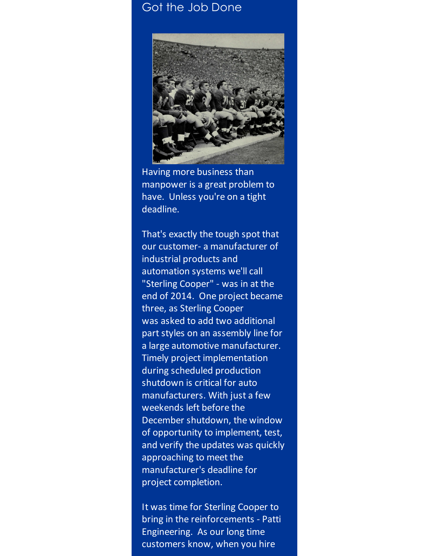### Got the Job Done



Having more business than manpower is a great problem to have. Unless you're on a tight deadline.

That's exactly the tough spot that our customer- a manufacturer of industrial products and automation systems we'll call "Sterling Cooper" - was in at the end of 2014. One project became three, as Sterling Cooper was asked to add two additional part styles on an assembly line for a large automotive manufacturer. Timely project implementation during scheduled production shutdown is critical for auto manufacturers. With just a few weekends left before the December shutdown, the window of opportunity to implement, test, and verify the updates was quickly approaching to meet the manufacturer's deadline for project completion.

It was time for Sterling Cooper to bring in the reinforcements - Patti Engineering. As our long time customers know, when you hire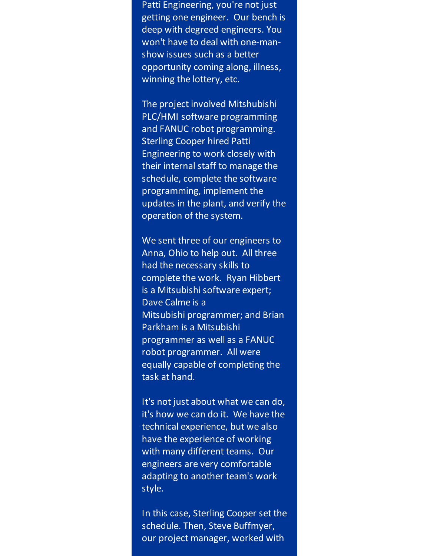Patti Engineering, you're not just getting one engineer. Our bench is deep with degreed engineers. You won't have to deal with one-manshow issues such as a better opportunity coming along, illness, winning the lottery, etc.

The project involved Mitshubishi PLC/HMI software programming and FANUC robot programming. Sterling Cooper hired Patti Engineering to work closely with their internal staff to manage the schedule, complete the software programming, implement the updates in the plant, and verify the operation of the system.

We sent three of our engineers to Anna, Ohio to help out. All three had the necessary skills to complete the work. Ryan Hibbert is a Mitsubishi software expert; Dave Calme is a Mitsubishi programmer; and Brian Parkham is a Mitsubishi programmer as well as a FANUC robot programmer. All were equally capable of completing the task at hand.

It's not just about what we can do, it's how we can do it. We have the technical experience, but we also have the experience of working with many different teams. Our engineers are very comfortable adapting to another team's work style.

In this case, Sterling Cooper set the schedule. Then, Steve Buffmyer, our project manager, worked with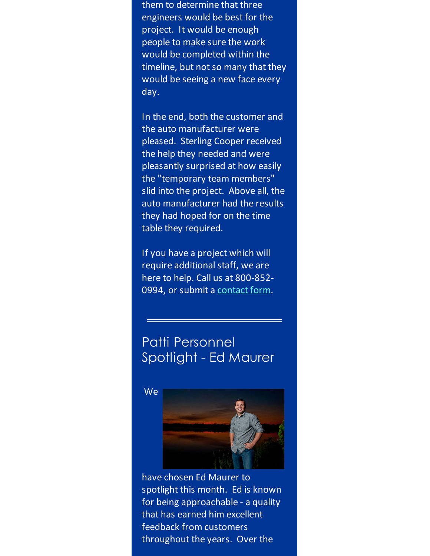them to determine that three engineers would be best for the project. It would be enough people to make sure the work would be completed within the timeline, but not so many that they would be seeing a new face every day.

In the end, both the customer and the auto manufacturer were pleased. Sterling Cooper received the help they needed and were pleasantly surprised at how easily the "temporary team members" slid into the project. Above all, the auto manufacturer had the results they had hoped for on the time table they required.

If you have a project which will require additional staff, we are here to help. Call us at 800-852 0994, or submit a [contact](http://www.pattiengineering.com/contact?utm_source=Patti+Perspective_October_2015&utm_campaign=Newsletter+October+2015&utm_medium=email) form.

## Patti Personnel Spotlight - Ed Maurer

**We** 



have chosen Ed Maurer to spotlight this month. Ed is known for being approachable - a quality that has earned him excellent feedback from customers throughout the years. Over the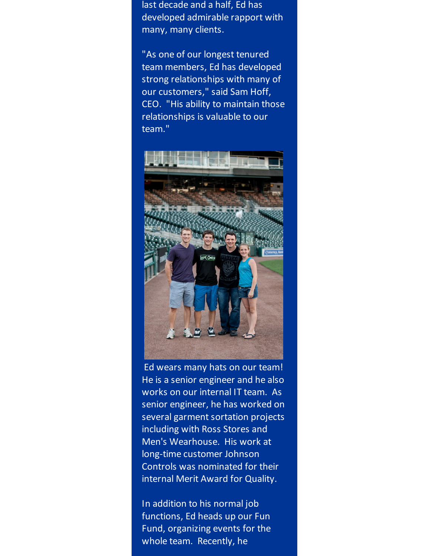last decade and a half, Ed has developed admirable rapport with many, many clients.

"As one of our longest tenured team members, Ed has developed strong relationships with many of our customers," said Sam Hoff, CEO. "His ability to maintain those relationships is valuable to our team."



Ed wears many hats on our team! He is a senior engineer and he also works on our internal IT team. As senior engineer, he has worked on several garment sortation projects including with Ross Stores and Men's Wearhouse. His work at long-time customer Johnson Controls was nominated for their internal Merit Award for Quality.

In addition to his normal job functions, Ed heads up our Fun Fund, organizing events for the whole team. Recently, he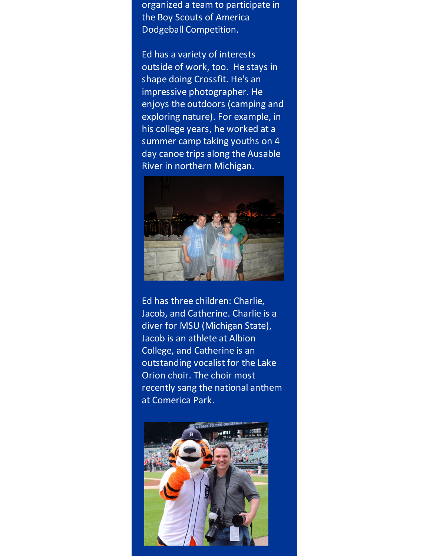organized a team to participate in the Boy Scouts of America Dodgeball Competition.

Ed has a variety of interests outside of work, too. He stays in shape doing Crossfit. He's an impressive photographer. He enjoys the outdoors (camping and exploring nature). For example, in his college years, he worked at a summer camp taking youths on 4 day canoe trips along the Ausable River in northern Michigan.



Ed has three children: Charlie, Jacob, and Catherine. Charlie is a diver for MSU (Michigan State), Jacob is an athlete at Albion College, and Catherine is an outstanding vocalist for the Lake Orion choir. The choir most recently sang the national anthem at Comerica Park.

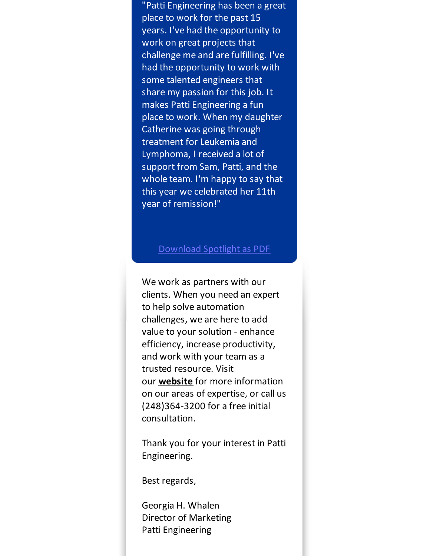"Patti Engineering has been a great place to work for the past 15 years. I've had the opportunity to work on great projects that challenge me and are fulfilling. I've had the opportunity to work with some talented engineers that share my passion for this job. It makes Patti Engineering a fun place to work. When my daughter Catherine was going through treatment for Leukemia and Lymphoma, I received a lot of support from Sam, Patti, and the whole team. I'm happy to say that this year we celebrated her 11th year of remission!"

#### [Download](http://files.ctctcdn.com/59cb3837001/6a3567ac-95ae-43d5-834a-2fca17c654a0.pdf?utm_source=Patti+Perspective_October_2015&utm_campaign=Newsletter+October+2015&utm_medium=email) Spotlight as PDF

We work as partners with our clients. When you need an expert to help solve automation challenges, we are here to add value to your solution - enhance efficiency, increase productivity, and work with your team as a trusted resource. Visit our **[website](http://www.pattieng.com/?utm_source=Patti+Perspective_October_2015&utm_campaign=Newsletter+October+2015&utm_medium=email)** for more information on our areas of expertise, or call us (248)364-3200 for a free initial consultation.

Thank you for your interest in Patti Engineering.

Best regards,

Georgia H. Whalen Director of Marketing Patti Engineering